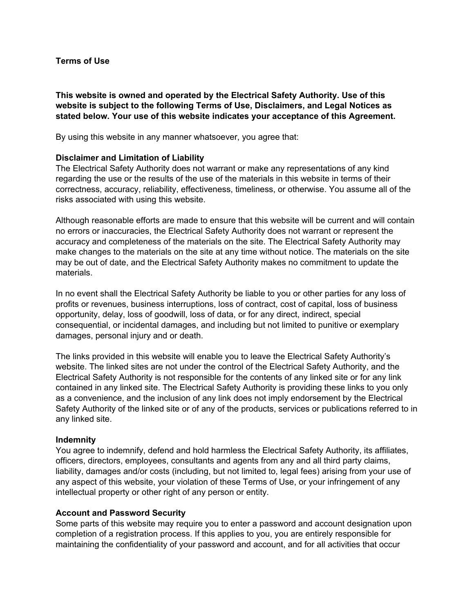### **Terms of Use**

**This website is owned and operated by the Electrical Safety Authority. Use of this website is subject to the following Terms of Use, Disclaimers, and Legal Notices as stated below. Your use of this website indicates your acceptance of this Agreement.**

By using this website in any manner whatsoever, you agree that:

## **Disclaimer and Limitation of Liability**

The Electrical Safety Authority does not warrant or make any representations of any kind regarding the use or the results of the use of the materials in this website in terms of their correctness, accuracy, reliability, effectiveness, timeliness, or otherwise. You assume all of the risks associated with using this website.

Although reasonable efforts are made to ensure that this website will be current and will contain no errors or inaccuracies, the Electrical Safety Authority does not warrant or represent the accuracy and completeness of the materials on the site. The Electrical Safety Authority may make changes to the materials on the site at any time without notice. The materials on the site may be out of date, and the Electrical Safety Authority makes no commitment to update the materials.

In no event shall the Electrical Safety Authority be liable to you or other parties for any loss of profits or revenues, business interruptions, loss of contract, cost of capital, loss of business opportunity, delay, loss of goodwill, loss of data, or for any direct, indirect, special consequential, or incidental damages, and including but not limited to punitive or exemplary damages, personal injury and or death.

The links provided in this website will enable you to leave the Electrical Safety Authority's website. The linked sites are not under the control of the Electrical Safety Authority, and the Electrical Safety Authority is not responsible for the contents of any linked site or for any link contained in any linked site. The Electrical Safety Authority is providing these links to you only as a convenience, and the inclusion of any link does not imply endorsement by the Electrical Safety Authority of the linked site or of any of the products, services or publications referred to in any linked site.

#### **Indemnity**

You agree to indemnify, defend and hold harmless the Electrical Safety Authority, its affiliates, officers, directors, employees, consultants and agents from any and all third party claims, liability, damages and/or costs (including, but not limited to, legal fees) arising from your use of any aspect of this website, your violation of these Terms of Use, or your infringement of any intellectual property or other right of any person or entity.

#### **Account and Password Security**

Some parts of this website may require you to enter a password and account designation upon completion of a registration process. If this applies to you, you are entirely responsible for maintaining the confidentiality of your password and account, and for all activities that occur